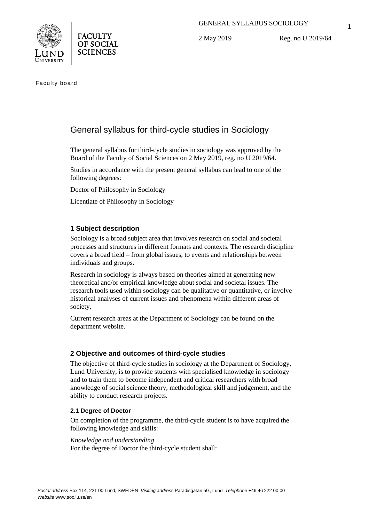



2 May 2019

Reg. no U 2019/64

Faculty board

# General syllabus for third-cycle studies in Sociology

The general syllabus for third-cycle studies in sociology was approved by the Board of the Faculty of Social Sciences on 2 May 2019, reg. no U 2019/64.

Studies in accordance with the present general syllabus can lead to one of the following degrees:

Doctor of Philosophy in Sociology

Licentiate of Philosophy in Sociology

# **1 Subject description**

Sociology is a broad subject area that involves research on social and societal processes and structures in different formats and contexts. The research discipline covers a broad field – from global issues, to events and relationships between individuals and groups.

Research in sociology is always based on theories aimed at generating new theoretical and/or empirical knowledge about social and societal issues. The research tools used within sociology can be qualitative or quantitative, or involve historical analyses of current issues and phenomena within different areas of society.

Current research areas at the Department of Sociology can be found on the department website.

## **2 Objective and outcomes of third-cycle studies**

The objective of third-cycle studies in sociology at the Department of Sociology, Lund University, is to provide students with specialised knowledge in sociology and to train them to become independent and critical researchers with broad knowledge of social science theory, methodological skill and judgement, and the ability to conduct research projects.

## **2.1 Degree of Doctor**

On completion of the programme, the third-cycle student is to have acquired the following knowledge and skills:

### *Knowledge and understanding*

For the degree of Doctor the third-cycle student shall: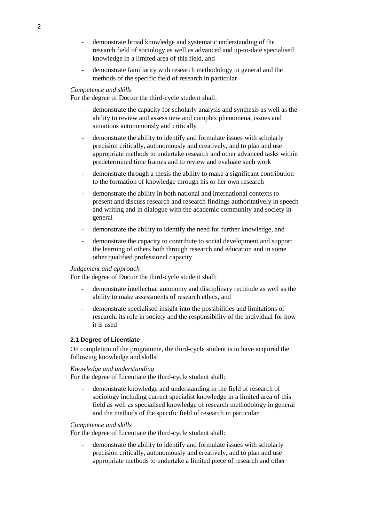- demonstrate broad knowledge and systematic understanding of the research field of sociology as well as advanced and up-to-date specialised knowledge in a limited area of this field, and
- demonstrate familiarity with research methodology in general and the methods of the specific field of research in particular

### *Competence and skills*

For the degree of Doctor the third-cycle student shall:

- demonstrate the capacity for scholarly analysis and synthesis as well as the ability to review and assess new and complex phenomena, issues and situations autonomously and critically
- demonstrate the ability to identify and formulate issues with scholarly precision critically, autonomously and creatively, and to plan and use appropriate methods to undertake research and other advanced tasks within predetermined time frames and to review and evaluate such work
- demonstrate through a thesis the ability to make a significant contribution to the formation of knowledge through his or her own research
- demonstrate the ability in both national and international contexts to present and discuss research and research findings authoritatively in speech and writing and in dialogue with the academic community and society in general
- demonstrate the ability to identify the need for further knowledge, and
- demonstrate the capacity to contribute to social development and support the learning of others both through research and education and in some other qualified professional capacity

#### *Judgement and approach*

For the degree of Doctor the third-cycle student shall:

- demonstrate intellectual autonomy and disciplinary rectitude as well as the ability to make assessments of research ethics, and
- demonstrate specialised insight into the possibilities and limitations of research, its role in society and the responsibility of the individual for how it is used

### **2.1 Degree of Licentiate**

On completion of the programme, the third-cycle student is to have acquired the following knowledge and skills:

# *Knowledge and understanding*

For the degree of Licentiate the third-cycle student shall:

demonstrate knowledge and understanding in the field of research of sociology including current specialist knowledge in a limited area of this field as well as specialised knowledge of research methodology in general and the methods of the specific field of research in particular

### *Competence and skills*

For the degree of Licentiate the third-cycle student shall:

demonstrate the ability to identify and formulate issues with scholarly precision critically, autonomously and creatively, and to plan and use appropriate methods to undertake a limited piece of research and other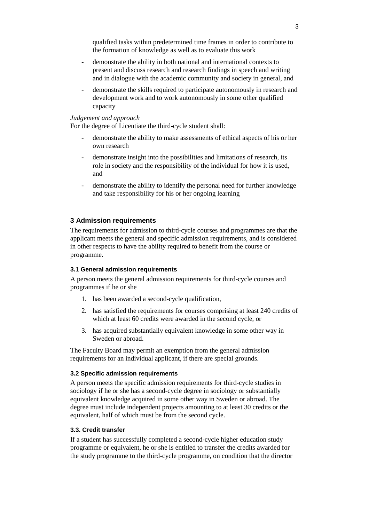qualified tasks within predetermined time frames in order to contribute to the formation of knowledge as well as to evaluate this work

- demonstrate the ability in both national and international contexts to present and discuss research and research findings in speech and writing and in dialogue with the academic community and society in general, and
- demonstrate the skills required to participate autonomously in research and development work and to work autonomously in some other qualified capacity

### *Judgement and approach*

For the degree of Licentiate the third-cycle student shall:

- demonstrate the ability to make assessments of ethical aspects of his or her own research
- demonstrate insight into the possibilities and limitations of research, its role in society and the responsibility of the individual for how it is used, and
- demonstrate the ability to identify the personal need for further knowledge and take responsibility for his or her ongoing learning

# **3 Admission requirements**

The requirements for admission to third-cycle courses and programmes are that the applicant meets the general and specific admission requirements, and is considered in other respects to have the ability required to benefit from the course or programme.

### **3.1 General admission requirements**

A person meets the general admission requirements for third-cycle courses and programmes if he or she

- 1. has been awarded a second-cycle qualification,
- 2. has satisfied the requirements for courses comprising at least 240 credits of which at least 60 credits were awarded in the second cycle, or
- 3. has acquired substantially equivalent knowledge in some other way in Sweden or abroad.

The Faculty Board may permit an exemption from the general admission requirements for an individual applicant, if there are special grounds.

### **3.2 Specific admission requirements**

A person meets the specific admission requirements for third-cycle studies in sociology if he or she has a second-cycle degree in sociology or substantially equivalent knowledge acquired in some other way in Sweden or abroad. The degree must include independent projects amounting to at least 30 credits or the equivalent, half of which must be from the second cycle.

### **3.3. Credit transfer**

If a student has successfully completed a second-cycle higher education study programme or equivalent, he or she is entitled to transfer the credits awarded for the study programme to the third-cycle programme, on condition that the director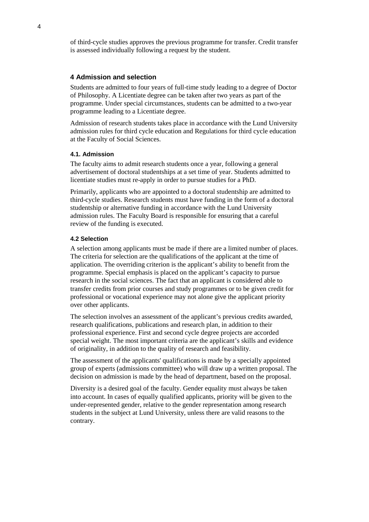of third-cycle studies approves the previous programme for transfer. Credit transfer is assessed individually following a request by the student.

### **4 Admission and selection**

Students are admitted to four years of full-time study leading to a degree of Doctor of Philosophy. A Licentiate degree can be taken after two years as part of the programme. Under special circumstances, students can be admitted to a two-year programme leading to a Licentiate degree.

Admission of research students takes place in accordance with the Lund University admission rules for third cycle education and Regulations for third cycle education at the Faculty of Social Sciences.

### **4.1. Admission**

The faculty aims to admit research students once a year, following a general advertisement of doctoral studentships at a set time of year. Students admitted to licentiate studies must re-apply in order to pursue studies for a PhD.

Primarily, applicants who are appointed to a doctoral studentship are admitted to third-cycle studies. Research students must have funding in the form of a doctoral studentship or alternative funding in accordance with the Lund University admission rules. The Faculty Board is responsible for ensuring that a careful review of the funding is executed.

#### **4.2 Selection**

A selection among applicants must be made if there are a limited number of places. The criteria for selection are the qualifications of the applicant at the time of application. The overriding criterion is the applicant's ability to benefit from the programme. Special emphasis is placed on the applicant's capacity to pursue research in the social sciences. The fact that an applicant is considered able to transfer credits from prior courses and study programmes or to be given credit for professional or vocational experience may not alone give the applicant priority over other applicants.

The selection involves an assessment of the applicant's previous credits awarded, research qualifications, publications and research plan, in addition to their professional experience. First and second cycle degree projects are accorded special weight. The most important criteria are the applicant's skills and evidence of originality, in addition to the quality of research and feasibility.

The assessment of the applicants' qualifications is made by a specially appointed group of experts (admissions committee) who will draw up a written proposal. The decision on admission is made by the head of department, based on the proposal.

Diversity is a desired goal of the faculty. Gender equality must always be taken into account. In cases of equally qualified applicants, priority will be given to the under-represented gender, relative to the gender representation among research students in the subject at Lund University, unless there are valid reasons to the contrary.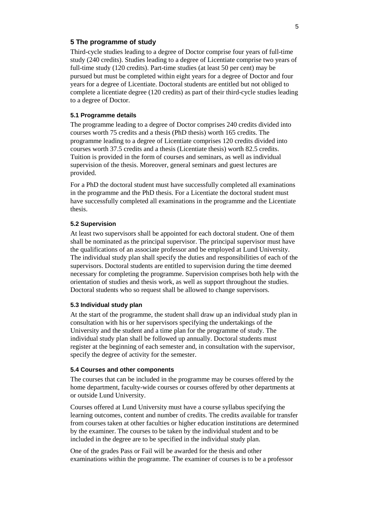### **5 The programme of study**

Third-cycle studies leading to a degree of Doctor comprise four years of full-time study (240 credits). Studies leading to a degree of Licentiate comprise two years of full-time study (120 credits). Part-time studies (at least 50 per cent) may be pursued but must be completed within eight years for a degree of Doctor and four years for a degree of Licentiate. Doctoral students are entitled but not obliged to complete a licentiate degree (120 credits) as part of their third-cycle studies leading to a degree of Doctor.

### **5.1 Programme details**

The programme leading to a degree of Doctor comprises 240 credits divided into courses worth 75 credits and a thesis (PhD thesis) worth 165 credits. The programme leading to a degree of Licentiate comprises 120 credits divided into courses worth 37.5 credits and a thesis (Licentiate thesis) worth 82.5 credits. Tuition is provided in the form of courses and seminars, as well as individual supervision of the thesis. Moreover, general seminars and guest lectures are provided.

For a PhD the doctoral student must have successfully completed all examinations in the programme and the PhD thesis. For a Licentiate the doctoral student must have successfully completed all examinations in the programme and the Licentiate thesis.

#### **5.2 Supervision**

At least two supervisors shall be appointed for each doctoral student. One of them shall be nominated as the principal supervisor. The principal supervisor must have the qualifications of an associate professor and be employed at Lund University. The individual study plan shall specify the duties and responsibilities of each of the supervisors. Doctoral students are entitled to supervision during the time deemed necessary for completing the programme. Supervision comprises both help with the orientation of studies and thesis work, as well as support throughout the studies. Doctoral students who so request shall be allowed to change supervisors.

#### **5.3 Individual study plan**

At the start of the programme, the student shall draw up an individual study plan in consultation with his or her supervisors specifying the undertakings of the University and the student and a time plan for the programme of study. The individual study plan shall be followed up annually. Doctoral students must register at the beginning of each semester and, in consultation with the supervisor, specify the degree of activity for the semester.

#### **5.4 Courses and other components**

The courses that can be included in the programme may be courses offered by the home department, faculty-wide courses or courses offered by other departments at or outside Lund University.

Courses offered at Lund University must have a course syllabus specifying the learning outcomes, content and number of credits. The credits available for transfer from courses taken at other faculties or higher education institutions are determined by the examiner. The courses to be taken by the individual student and to be included in the degree are to be specified in the individual study plan.

One of the grades Pass or Fail will be awarded for the thesis and other examinations within the programme. The examiner of courses is to be a professor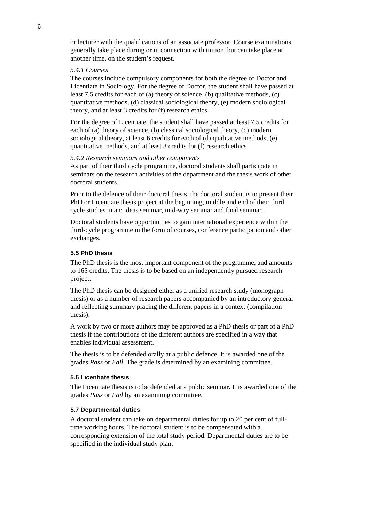or lecturer with the qualifications of an associate professor. Course examinations generally take place during or in connection with tuition, but can take place at another time, on the student's request.

### *5.4.1 Courses*

The courses include compulsory components for both the degree of Doctor and Licentiate in Sociology. For the degree of Doctor, the student shall have passed at least 7.5 credits for each of (a) theory of science, (b) qualitative methods, (c) quantitative methods, (d) classical sociological theory, (e) modern sociological theory, and at least 3 credits for (f) research ethics.

For the degree of Licentiate, the student shall have passed at least 7.5 credits for each of (a) theory of science, (b) classical sociological theory, (c) modern sociological theory, at least 6 credits for each of (d) qualitative methods, (e) quantitative methods, and at least 3 credits for (f) research ethics.

#### *5.4.2 Research seminars and other components*

As part of their third cycle programme, doctoral students shall participate in seminars on the research activities of the department and the thesis work of other doctoral students.

Prior to the defence of their doctoral thesis, the doctoral student is to present their PhD or Licentiate thesis project at the beginning, middle and end of their third cycle studies in an: ideas seminar, mid-way seminar and final seminar.

Doctoral students have opportunities to gain international experience within the third-cycle programme in the form of courses, conference participation and other exchanges.

### **5.5 PhD thesis**

The PhD thesis is the most important component of the programme, and amounts to 165 credits. The thesis is to be based on an independently pursued research project.

The PhD thesis can be designed either as a unified research study (monograph thesis) or as a number of research papers accompanied by an introductory general and reflecting summary placing the different papers in a context (compilation thesis).

A work by two or more authors may be approved as a PhD thesis or part of a PhD thesis if the contributions of the different authors are specified in a way that enables individual assessment.

The thesis is to be defended orally at a public defence. It is awarded one of the grades *Pass* or *Fail*. The grade is determined by an examining committee.

### **5.6 Licentiate thesis**

The Licentiate thesis is to be defended at a public seminar. It is awarded one of the grades *Pass* or *Fail* by an examining committee.

#### **5.7 Departmental duties**

A doctoral student can take on departmental duties for up to 20 per cent of fulltime working hours. The doctoral student is to be compensated with a corresponding extension of the total study period. Departmental duties are to be specified in the individual study plan.